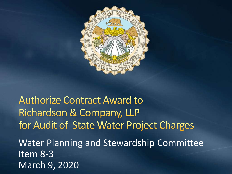

**Authorize Contract Award to** Richardson & Company, LLP for Audit of State Water Project Charges Water Planning and Stewardship Committee Item 8-3 March 9, 2020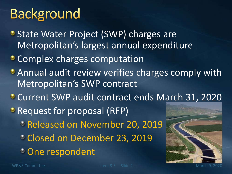# **Background**

- **State Water Project (SWP) charges are** Metropolitan's largest annual expenditure
- **Complex charges computation**
- **Annual audit review verifies charges comply with** Metropolitan's SWP contract
- Current SWP audit contract ends March 31, 2020
- **P** Request for proposal (RFP)
	- Released on November 20, 2019
	- Closed on December 23, 2019
	- One respondent

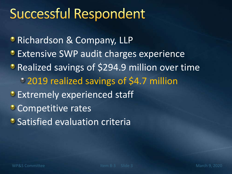# **Successful Respondent**

**• Richardson & Company, LLP Extensive SWP audit charges experience Realized savings of \$294.9 million over time** 2019 realized savings of \$4.7 million **Extremely experienced staff Competitive rates • Satisfied evaluation criteria**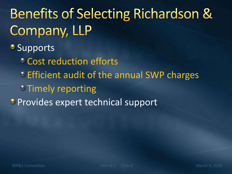# **Benefits of Selecting Richardson &** Company, LLP

#### **Supports**

- Cost reduction efforts
- **Efficient audit of the annual SWP charges**
- **Timely reporting**
- **Provides expert technical support**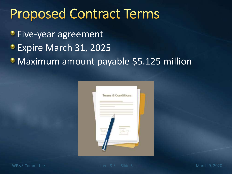### **Proposed Contract Terms**

- **Five-year agreement**
- Expire March 31, 2025
- **Maximum amount payable \$5.125 million**

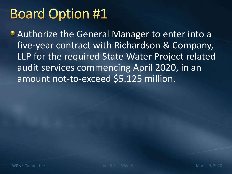# **Board Option #1**

Authorize the General Manager to enter into a five-year contract with Richardson & Company, LLP for the required State Water Project related audit services commencing April 2020, in an amount not-to-exceed \$5.125 million.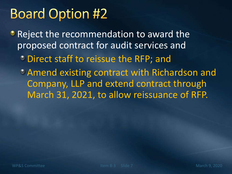# **Board Option #2**

**• Reject the recommendation to award the** proposed contract for audit services and

Direct staff to reissue the RFP; and

Amend existing contract with Richardson and Company, LLP and extend contract through March 31, 2021, to allow reissuance of RFP.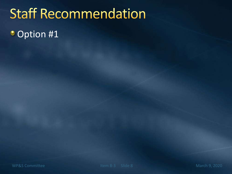# **Staff Recommendation**

• Option #1